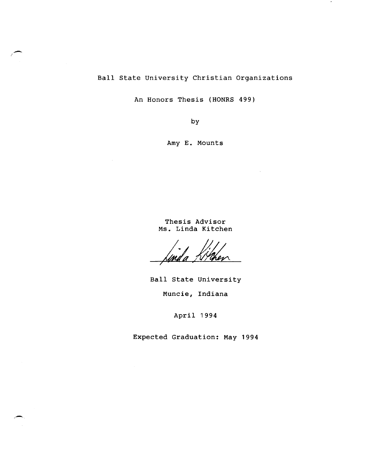# Ball state University Christian Organizations

.-

An Honors Thesis (HONRS 499)

by

Amy **E.** Mounts

Thesis Advisor Ms. Linda Kitchen

'Imd a

Ball state University Muncie, Indiana

April 1994

Expected Graduation: May 1994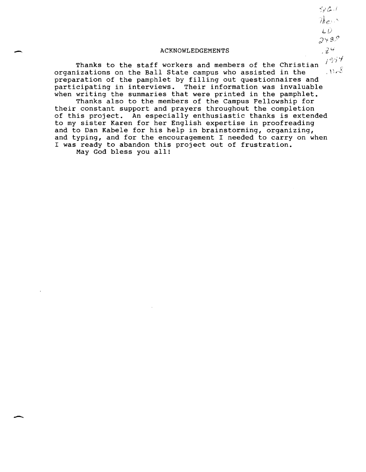ACKNOWLEDGEMENTS

Thanks to the staff workers and members of the Christian  $11.8$ organizations on the Ball State campus who assisted in the preparation of the pamphlet by filling out questionnaires and participating in interviews. Their information was invaluable when writing the summaries that were printed in the pamphlet.

Thanks also to the members of the Campus Fellowship for their constant support and prayers throughout the completion of this project. An especially enthusiastic thanks is extended to my sister Karen for her English expertise in proofreading and to Dan Kabele for his help in brainstorming, organizing, and typing, and for the encouragement I needed to carry on when I was ready to abandon this project out of frustration.

May God bless you all!

 $\overline{\phantom{0}}$ 

 $52C.1$ There  $LD$  $2489$  $24$  $i^{954}$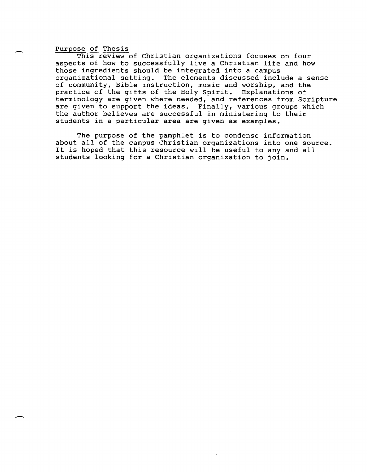## Purpose of Thesis

,-

 $\overline{\phantom{0}}$ 

This review of Christian organizations focuses on four aspects of how to successfully live a Christian life and how those ingredients should be integrated into a campus organizational setting. The elements discussed include a sense of community, Bible instruction, music and worship, and the practice of the gifts of the Holy Spirit. Explanations of terminology are given where needed, and references from Scripture are given to support the ideas. Finally, various groups which the author believes are successful in ministering to their students in a particular area are given as examples.

The purpose of the pamphlet is to condense information about all of the campus Christian organizations into one source. It is hoped that this resource will be useful to any and all students looking for a Christian organization to join.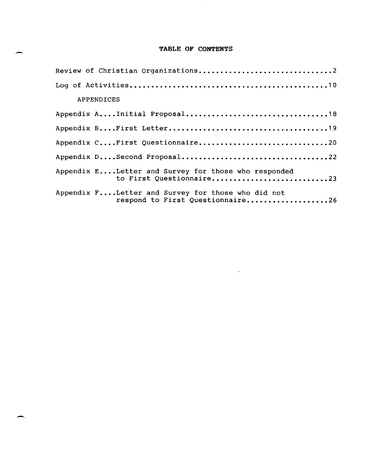## TABLE OF CONTENTS

-

|            | Review of Christian Organizations2                                                    |  |
|------------|---------------------------------------------------------------------------------------|--|
|            |                                                                                       |  |
| APPENDICES |                                                                                       |  |
|            |                                                                                       |  |
|            |                                                                                       |  |
|            | Appendix CFirst Questionnaire20                                                       |  |
|            |                                                                                       |  |
|            | Appendix ELetter and Survey for those who responded<br>to First Questionnaire23       |  |
|            | Appendix FLetter and Survey for those who did not<br>respond to First Questionnaire26 |  |

 $\sim 10^{11}$  km  $^{-1}$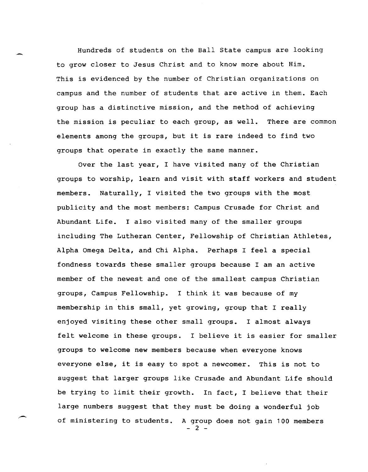Hundreds of students on the Ball State campus are looking to grow closer to Jesus Christ and to know more about Him. This is evidenced by the number of Christian organizations on campus and the number of students that are active in them. Each group has a distinctive mission, and the method of achieving the mission is peculiar to each group, as well. There are common elements among the groups, but it is rare indeed to find two groups that operate in exactly the same manner.

Over the last year, I have visited many of the Christian groups to worship, learn and visit with staff workers and student members. Naturally, I visited the two groups with the most publicity and the most members: Campus Crusade for Christ and Abundant Life. I also visited many of the smaller groups including The Lutheran Center, Fellowship of Christian Athletes, Alpha Omega Delta, and Chi Alpha. Perhaps I feel a special fondness towards these smaller groups because I am an active member of the newest and one of the smallest campus Christian groups, Campus Fellowship. I think it was because of my membership in this small, yet growing, group that I really enjoyed visiting these other small groups. I almost always felt welcome in these groups. I believe it is easier for smaller groups to welcome new members because when everyone knows everyone else, it is easy to spot a newcomer. This is not to suggest that larger groups like Crusade and Abundant Life should be trying to limit their growth. In fact, I believe that their large numbers suggest that they must be doing a wonderful job of ministering to students. A group does not gain 100 members - 2 -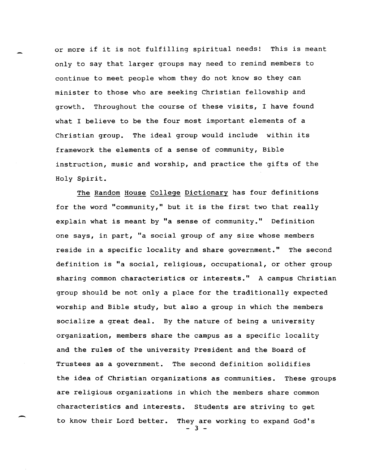or more if it is not fulfilling spiritual needs! This is meant only to say that larger groups may need to remind members to continue to meet people whom they do not know so they can minister to those who are seeking Christian fellowship and growth. Throughout the course of these visits, I have found what I believe to be the four most important elements of a Christian group. The ideal group would include within its framework the elements of a sense of community, Bible instruction, music and worship, and practice the gifts of the Holy Spirit.

The Random House College Dictionary has four definitions for the word "community," but it is the first two that really explain what is meant by "a sense of community." Definition one says, in part, "a social group of any size whose members reside in a specific locality and share government." The second definition is "a social, religious, occupational, or other group sharing common characteristics or interests." A campus Christian group should be not only a place for the traditionally expected worship and Bible study, but also a group in which the members socialize a great deal. By the nature of being a university organization, members share the campus as a specific locality and the rules of the university President and the Board of Trustees as a government. The second definition solidifies the idea of Christian organizations as communities. These groups are religious organizations in which the members share common characteristics and interests. Students are striving to get to know their Lord better. They are working to expand God's - 3 -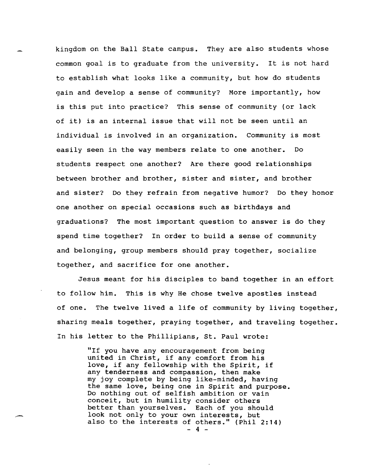kingdom on the Ball state campus. They are also students whose common goal is to graduate from the university. It is not hard to establish what looks like a community, but how do students gain and develop a sense of community? More importantly, how is this put into practice? This sense of community (or lack of it) is an internal issue that will not be seen until an individual is involved in an organization. Community is most easily seen in the way members relate to one another. Do students respect one another? Are there good relationships between brother and brother, sister and sister, and brother and sister? Do they refrain from negative humor? Do they honor one another on special occasions such as birthdays and graduations? The most important question to answer is do they spend time together? In order to build a sense of community and belonging, group members should pray together, socialize together, and sacrifice for one another.

Jesus meant for his disciples to band together in an effort to follow him. This is why He chose twelve apostles instead of one. The twelve lived a life of community by living together, sharing meals together, praying together, and traveling together. In his letter to the Phillipians, st. Paul wrote:

> "If you have any encouragement from being united in Christ, if any comfort from his love, if any fellowship with the Spirit, if any tenderness and compassion, then make my joy complete by being like-minded, having the same love, being one in Spirit and purpose. Do nothing out of selfish ambition or vain conceit, but in humility consider others better than yourselves. Each of you should look not only to your own interests, but also to the interests of others." (Phil 2:14)  $-4 -$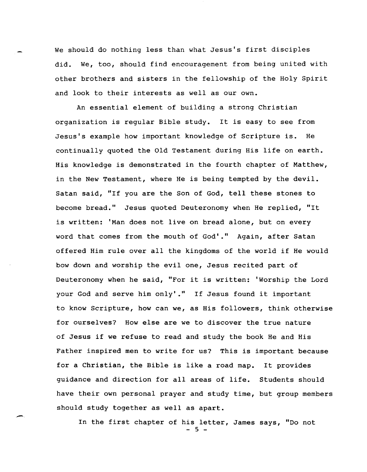We should do nothing less than what Jesus's first disciples did. We, too, should find encouragement from being united with other brothers and sisters in the fellowship of the Holy Spirit and look to their interests as well as our own.

An essential element of building a strong Christian organization is regular Bible study. It is easy to see from Jesus's example how important knowledge of Scripture is. He continually quoted the Old Testament during His life on earth. His knowledge is demonstrated in the fourth chapter of Matthew, in the New Testament, where He is being tempted by the devil. Satan said, "If you are the Son of God, tell these stones to become bread." Jesus quoted Deuteronomy when He replied, "It is written: 'Man does not live on bread alone, but on every word that comes from the mouth of God'." Again, after Satan offered Him rule over all the kingdoms of the world if He would bow down and worship the evil one, Jesus recited part of Deuteronomy when he said, "For it is written: 'Worship the Lord your God and serve him **only'."** If Jesus found it important to know Scripture, how can we, as His followers, think otherwise for ourselves? How else are we to discover the true nature of Jesus if we refuse to read and study the book He and His Father inspired men to write for us? This is important because for a Christian, the Bible is like a road map. It provides guidance and direction for all areas of life. Students should have their own personal prayer and study time, but group members should study together as well as apart.

In the first chapter of his letter, James says, "Do not - 5 -

,-.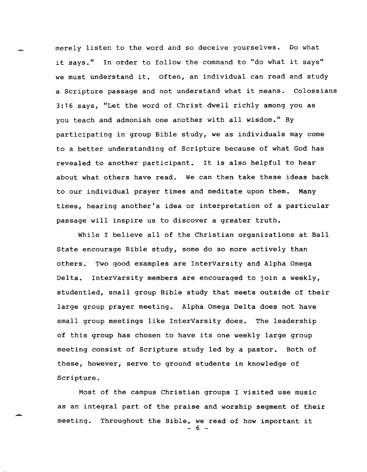merely listen to the word and so deceive yourselves. Do what it says." In order to follow the command to "do what it says" we must understand it. Often, an individual can read and study a Scripture passage and not understand what it means. Colossians 3:16 says, "Let the word of Christ dwell richly among you as you teach and admonish one another with all wisdom." By participating in group Bible study, we as individuals may come to a better understanding of Scripture because of what God has revealed to another participant. It is also helpful to hear about what others have read. We can then take these ideas back to our individual prayer times and meditate upon them. Many times, hearing another's idea or interpretation of a particular passage will inspire us to discover a greater truth.

While I believe all of the Christian organizations at Ball State encourage Bible study, some do so more actively than others. Two good examples are InterVarsity and Alpha Omega Delta. InterVarsity members are encouraged to join a weekly, studentled, small group Bible study that meets outside of their large group prayer meeting. Alpha Omega Delta does not have small group meetings like InterVarsity does. The leadership of this group has chosen to have its one weekly large group meeting consist of Scripture study led by a pastor. Both of these, however, serve to ground students in knowledge of Scripture.

Most of the campus Christian groups I visited use music as an integral part of the praise and worship segment of their meeting. Throughout the Bible, we read of how important it  $-6$  -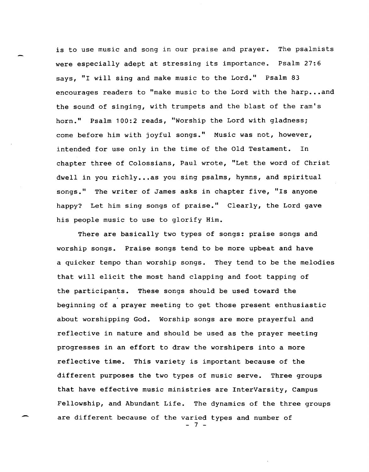is to use music and song in our praise and prayer. The psalmists were especially adept at stressing its importance. Psalm 27:6 says, "I will sing and make music to the Lord." Psalm 83 encourages readers to "make music to the Lord with the harp...and the sound of singing, with trumpets and the blast of the ram's horn." Psalm 100:2 reads, "Worship the Lord with gladness; come before him with joyful songs." Music was not, however, intended for use only in the time of the Old Testament. In chapter three of Colossians, Paul wrote, "Let the word of Christ dwell in you richly...as you sing psalms, hymns, and spiritual songs." The writer of James asks in chapter five, "Is anyone happy? Let him sing songs of praise." Clearly, the Lord gave his people music to use to glorify Him.

There are basically two types of songs: praise songs and worship songs. Praise songs tend to be more upbeat and have a quicker tempo than worship songs. They tend to be the melodies that will elicit the most hand clapping and foot tapping of the participants. These songs should be used toward the beginning of a prayer meeting to get those present enthusiastic about worshipping God. Worship songs are more prayerful and reflective in nature and should be used as the prayer meeting progresses in an effort to draw the worshipers into a more reflective time. This variety is important because of the different purposes the two types of music serve. Three groups that have effective music ministries are InterVarsity, Campus Fellowship, and Abundant Life. The dynamics of the three groups are different because of the varied types and number of - 7 -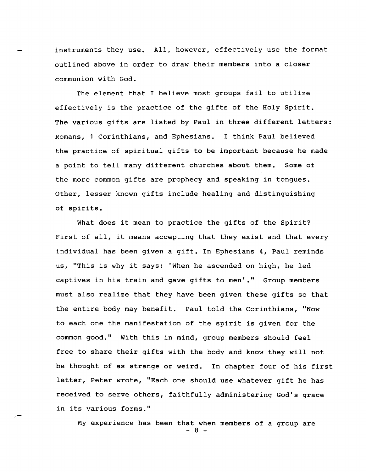instruments they use. All, however, effectively use the format outlined above in order to draw their members into a closer communion with God.

The element that I believe most groups fail to utilize effectively is the practice of the gifts of the Holy Spirit. The various gifts are listed by Paul in three different letters: Romans, 1 Corinthians, and Ephesians. I think Paul believed the practice of spiritual gifts to be important because he made a point to tell many different churches about them. Some of the more common gifts are prophecy and speaking in tongues. other, lesser known gifts include healing and distinguishing of spirits.

What does it mean to practice the gifts of the Spirit? First of all, it means accepting that they exist and that every individual has been given a gift. In Ephesians 4, Paul reminds us, "This is why it says: 'When he ascended on high, he led captives in his train and gave gifts to men'." Group members must also realize that they have been given these gifts so that the entire body may benefit. Paul told the Corinthians, "Now to each one the manifestation of the spirit is given for the common good." With this in mind, group members should feel free to share their gifts with the body and know they will not be thought of as strange or weird. In chapter four of his first letter, Peter wrote, "Each one should use whatever gift he has received to serve others, faithfully administering God's grace in its various forms."

My experience has been that when members of a group are - 8 -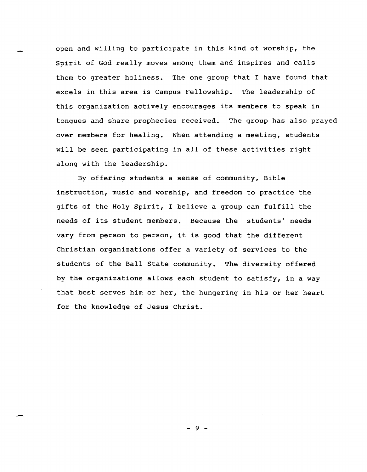open and willing to participate in this kind of worship, the Spirit of God really moves among them and inspires and calls them to greater holiness. The one group that I have found that excels in this area is Campus Fellowship. The leadership of this organization actively encourages its members to speak in tongues and share prophecies received. The group has also prayed over members for healing. When attending a meeting, students will be seen participating in all of these activities right along with the leadership.

By offering students a sense of community, Bible instruction, music and worship, and freedom to practice the gifts of the Holy Spirit, I believe a group can fulfill the needs of its student members. Because the students' needs vary from person to person, it is good that the different Christian organizations offer a variety of services to the students of the Ball State community. The diversity offered by the organizations allows each student to satisfy, in a way that best serves him or her, the hungering in his or her heart for the knowledge of Jesus Christ.

- 9 -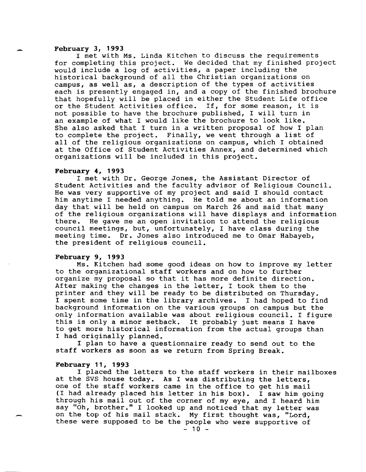#### **February 3, 1993**

I met with Ms. Linda Kitchen to discuss the requirements for completing this project. We decided that my finished project would include a log of activities, a paper including the historical background of all the Christian organizations on campus, as well as, a description of the types of activities each is presently engaged in, and a copy of the finished brochure that hopefully will be placed in either the Student Life office or the Student Activities office. If, for some reason, it is not possible to have the brochure published, I will turn in an example of what I would like the brochure to look like. She also asked that I turn in a written proposal of how I plan to complete the project. Finally, we went through a list of all of the religious organizations on campus, which I obtained at the Office of Student Activities Annex, and determined which organizations will be included in this project.

#### **February 4, 1993**

I met with Dr. George Jones, the Assistant Director of Student Activities and the faculty advisor of Religious Council. He was very supportive of my project and said I should contact him anytime I needed anything. He told me about an information day that will be held on campus on March 26 and said that many of the religious organizations will have displays and information there. He gave me an open invitation to attend the religious council meetings, but, unfortunately, I have class during the meeting time. Dr. Jones also introduced me to Omar Habayeb, the president of religious council.

## **February 9, 1993**

Ms. Kitchen had some good ideas on how to improve my letter to the organizational staff workers and on how to further organize my proposal so that it has more definite direction. After making the changes in the letter, I took them to the printer and they will be ready to be distributed on Thursday. I spent some time in the library archives. I had hoped to find background information on the various groups on campus but the only information available was about religious council. I figure this is only a minor setback. It probably just means I have to get more historical information from the actual groups than I had originally planned.

I plan to have a questionnaire ready to send out to the staff workers as soon as we return from Spring Break.

#### **February 11, 1993**

I placed the letters to the staff workers in their mailboxes at the SVS house today. As I was distributing the letters, one of the staff workers came in the office to get his mail Incode the seart workers came in the office to get his main (I had already placed his letter in his box). I saw him going through his mail out of the corner of my eye, and I heard him say "Oh, brother." I looked up and noticed that my letter was on the top of his mail stack. My first thought was, "Lord, these were supposed to be the people who were supportive of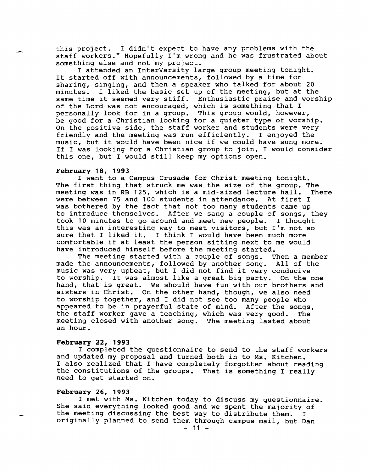this project. I didn't expect to have any problems with the staff workers." Hopefully I'm wrong and he was frustrated about something else and not my project.

I attended an InterVarsity large group meeting tonight. It started off with announcements, followed by a time for sharing, singing, and then a speaker who talked for about 20 minutes. I liked the basic set up of the meeting, but at the same time it seemed very stiff. Enthusiastic praise and worship of the Lord was not encouraged, which is something that I personally look for in a group. This group would, however, be good for a Christian looking for a quieter type of worship. On the positive side, the staff worker and students were very friendly and the meeting was run efficiently. I enjoyed the music, but it would have been nice if we could have sung more. If I was looking for a Christian group to join, I would consider this one, but I would still keep my options open.

#### February 18, 1993

I went to a Campus Crusade for Christ meeting tonight. The first thing that struck me was the size of the group. The<br>meeting was in RB 125, which is a mid-sized lecture hall. There meeting was in RB 125, which is a mid-sized lecture hall. There extend the results in attendance. At first I were between 75 and 100 students in attendance. was bothered by the fact that not too many students came up to introduce themselves. After we sang a couple of songs, they took 10 minutes to go around and meet new people. I thought this was an interesting way to meet visitors, but I'm not so sure that I liked it. I think I would have been much more comfortable if at least the person sitting next to me would have introduced himself before the meeting started.

The meeting started with a couple of songs. Then a member made the announcements, followed by another song. All of the music was very upbeat, but I did not find it very conducive to worship. It was almost like a great big party. On the one hand, that is great. We should have fun with our brothers and sisters in Christ. On the other hand, though, we also need to worship together, and I did not see too many people who appeared to be in prayerful state of mind. After the songs,<br>the staff worker gave a teaching, which was very good. The the staff worker gave a teaching, which was very good. meeting closed with another song. The meeting lasted about an hour.

## February 22, 1993

I completed the questionnaire to send to the staff workers and updated my proposal and turned both in to Ms. Kitchen. I also realized that I have completely forgotten about reading the constitutions of the groups. That is something I really need to get started on.

## February 26, 1993

I met with Ms. Kitchen today to discuss my questionnaire. She said everything looked good and we spent the majority of the meeting discussing the best way to distribute them. originally planned to send them through campus mail, but Dan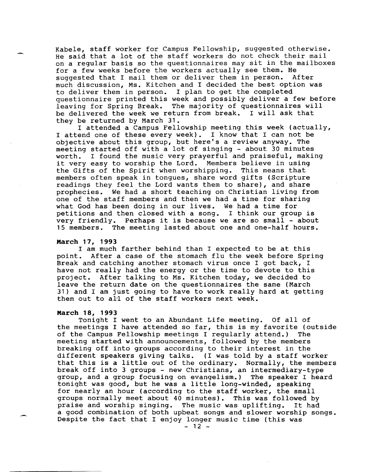Kabele, staff worker for Campus Fellowship, suggested otherwise. He said that a lot of the staff workers do not check their mail on a regular basis so the questionnaires may sit in the mailboxes for a few weeks before the workers actually see them. He suggested that I mail them or deliver them in person. After suggested that I mail them or deliver them in person. much discussion, Ms. Kitchen and I decided the best option was to deliver them in person. I plan to get the completed questionnaire printed this week and possibly deliver a few before leaving for Spring Break. The majority of questionnaires will be delivered the week we return from break. I will ask that they be returned by March 31.

I attended a Campus Fellowship meeting this week (actually, I attend one of these every week). I know that I can not be objective about this group, but here's a review anyway. The objective doode ento group, but nere 5 a review dhimaj. The<br>meeting started off with a lot of singing - about 30 minutes worth. I found the music very prayerful and praiseful, making it very easy to worship the Lord. Members believe in using the Gifts of the Spirit when worshipping. This means that members often speak in tongues, share word gifts (Scripture readings they feel the Lord wants them to share), and share prophecies. We had a short teaching on Christian living from one of the staff members and then we had a time for sharing what God has been doing in our lives. We had a time for petitions and then closed with a song. I think our group is very friendly. Perhaps it is because we are so small - about 15 members. The meeting lasted about one and one-half hours.

#### **March 17, 1993**

I am much farther behind than I expected to be at this point. After a case of the stomach flu the week before Spr After a case of the stomach flu the week before Spring Break and catching another stomach virus once I got back, I have not really had the energy or the time to devote to this project. After talking to Ms. Kitchen today, we decided to leave the return date on the questionnaires the same (March 31) and I am just going to have to work really hard at getting them out to all of the staff workers next week.

## **March 18, 1993**

Tonight I went to an Abundant Life meeting. Of all of the meetings I have attended so far, this is my favorite (outside of the Campus Fellowship meetings I reqularly attend.) The of the Campus Fellowship meetings I reqularly attend.) meeting started with announcements, followed by the members breaking off into groups according to their interest in the different speakers giving talks. (I was told by a staff worker that this is a little out of the ordinary. Normally, the members break off into 3 groups - new Christians, an intermediary-type group, and a group focusing on evangelism.) The speaker I heard tonight was good, but he was a little long-winded, speaking for nearly an hour (according to the staff worker, the small groups normally meet about 40 minutes). This was followed by praise and worship singing. The music was uplifting. It had praise and worship singing. The music was uplifting. a good combination of both upbeat songs and slower worship songs. Despite the fact that I enjoy longer music time (this was

 $-12 -$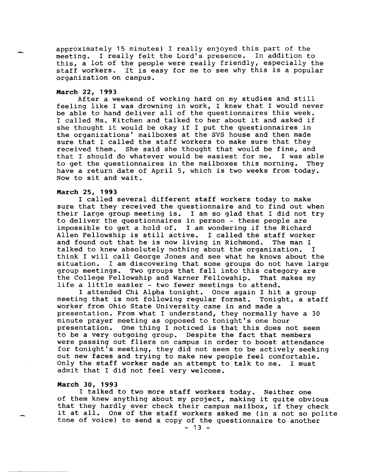approximately 15 minutes) I really enjoyed this part of the meeting. I really felt the Lord's presence. In addition to this, a lot of the people were really friendly, especially the staff workers. It is easy for me to see why this is a popular organization on campus.

#### **March 22, 1993**

After a weekend of working hard on my studies and still feeling like I was drowning in work, I knew that I would never be able to hand deliver all of the questionnaires this week. I called Ms. Kitchen and talked to her about it and asked if she thought it would be okay if I put the questionnaires in the organizations' mailboxes at the SVS house and then made sure that I called the staff workers to make sure that they<br>received them. She said she thought that would be fine, and She said she thought that would be fine, and<br>by whatever would be easiest for me. I was able that I should do whatever would be easiest for me. I was able<br>to get the questionnaires in the mailboxes this morning. They to get the questionnaires in the mailboxes this morning. have a return date of April 5, which is two weeks from today. Now to sit and wait.

#### **March 25, 1993**

I called several different staff workers today to make sure that they received the questionnaire and to find out when their large group meeting is. I am so glad that I did not try to deliver the questionnaires in person - these people are impossible to get a hold of. I am wondering if the Richard Allen Fellowship is still active. I called the staff worker<br>and found out that he is now living in Richmond. The man I and found out that he is now living in Richmond. talked to knew absolutely nothing about the organization. I think I will call George Jones and see what he knows about the situation. I am discovering that some groups do not have large group meetings. Two groups that fall into this category are Two groups that fall into this category are<br>by ship and Warner Fellowship. That makes my the College Fellowship and Warner Fellowship. life a little easier - two fewer meetings to attend.

I attended Chi Alpha tonight. Once again I hit a group meeting that is not following regular format. Tonight, a staff worker from Ohio State University came in and made a presentation. From what I understand, they normally have a 30 minute prayer meeting as opposed to tonight's one hour<br>presentation. One thing I noticed is that this does no One thing I noticed is that this does not seem to be a very outgoing group. Despite the fact that members were passing out fliers on campus in order to boost attendance for tonight's meeting, they did not seem to be actively seeking out new faces and trying to make new people feel comfortable. Only the staff worker made an attempt to talk to me. I must admit that I did not feel very welcome.

#### **March 30, 1993**

I talked to two more staff workers today. Neither one of them knew anything about my project, making it quite obvious that they hardly ever check their campus mailbox, if they check it at all. One of the staff workers asked me (in a not so polite tone of voice) to send a copy of the questionnaire to another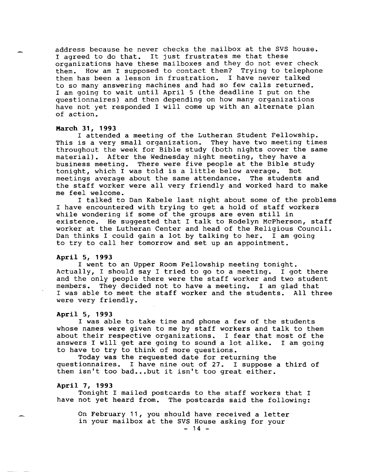address because he never checks the mailbox at the SVS house. I agreed to do that. It just frustrates me that these organizations have these mailboxes and they do not ever check them. How am I supposed to contact them? Trying to telephone them has been a lesson in frustration. I have never talked to so many answering machines and had so few calls returned. I am going to wait until April 5 (the deadline I put on the questionnaires) and then depending on how many organizations have not yet responded I will come up with an alternate plan of action.

#### **March 31, 1993**

I attended a meeting of the Lutheran Student Fellowship. This is a very small organization. They have two meeting times throughout the week for Bible study (both nights cover the same material). After the Wednesday night meeting, they have a business meeting. There were five people at the Bible study<br>tonight, which I was told is a little below average. Bot tonight, which I was told is a little below average. meetings average about the same attendance. The students and the staff worker were all very friendly and worked hard to make me feel welcome.

I talked to Dan Kabele last night about some of the problems I have encountered with trying to get a hold of staff workers while wondering if some of the groups are even still in existence. He suggested that I talk to Rodelyn McPherson, staff worker at the Lutheran Center and head of the Religious Council. Dan thinks I could gain a lot by talking to her. I am going to try to call her tomorrow and set up an appointment.

## **April 5, 1993**

I went to an Upper Room Fellowship meeting tonight.<br>lly, I should say I tried to go to a meeting. I got there Actually, I should say I tried to go to a meeting. and the only people there were the staff worker and two student<br>members. They decided not to have a meeting. I am glad that members. They decided not to have a meeting. I was able to meet the staff worker and the students. All three were very friendly.

#### **April 5, 1993**

I was able to take time and phone a few of the students whose names were given to me by staff workers and talk to them about their respective organizations. I fear that most of the answers I will get are going to sound a lot alike. I am going to have to try to think of more questions.

Today was the requested date for returning the questionnaires. I have nine out of 27. I suppose a third of them isn't too bad...but it isn't too great either.

#### **April 7, 1993**

Tonight I mailed postcards to the staff workers that I have not yet heard from. The postcards said the following:

On February 11, you should have received a letter in your mailbox at the SVS House asking for your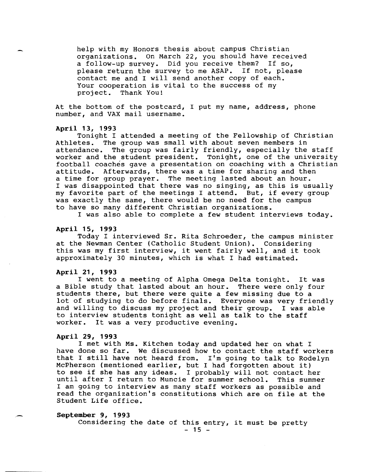help with my Honors thesis about campus Christian organizations. On March 22, you should have received a follow-up survey. Did you receive them? If so, please return the survey to me ASAP. If not, please contact me and I will send another copy of each. Your cooperation is vital to the success of my project. Thank You!

At the bottom of the postcard, I put my name, address, phone number, and VAX mail username.

#### **April 13, 1993**

Tonight I attended a meeting of the Fellowship of Christian Athletes. The group was small with about seven members in attendance. The group was fairly friendly, especially the staff worker and the student president. Tonight, one of the university football coaches gave a presentation on coaching with a Christian attitude. Afterwards, there was a time for sharing and then a time for group prayer. The meeting lasted about an hour. I was disappointed that there was no singing, as this is usually my favorite part of the meetings I attend. But, if every group was exactly the same, there would be no need for the campus to have so many different Christian organizations.

I was also able to complete a few student interviews today.

#### **April 15, 1993**

Today I interviewed Sr. Rita Schroeder, the campus minister at the Newman Center (Catholic Student Union). Considering this was my first interview, it went fairly well, and it took approximately 30 minutes, which is what I had estimated.

#### **April 21, 1993**

I went to a meeting of Alpha Omega Delta tonight. It was a Bible study that lasted about an hour. There were only four students there, but there were quite a few missing due to a lot of studying to do before finals. Everyone was very friendly and willing to discuss my project and their group. I was able to interview students tonight as well as talk to the staff worker. It was a very productive evening.

## **April 29, 1993**

I met with Ms. Kitchen today and updated her on what I have done so far. We discussed how to contact the staff workers that I still have not heard from. I'm going to talk to Rodelyn McPherson (mentioned earlier, but I had forgotten about it) to see if she has any ideas. I probably will not contact her until after I return to Muncie for summer school. I am going to interview as many staff workers as possible and read the organization's constitutions which are on file at the Student Life office.

## **September 9, 1993**

Considering the date of this entry, it must be pretty  $- 15 -$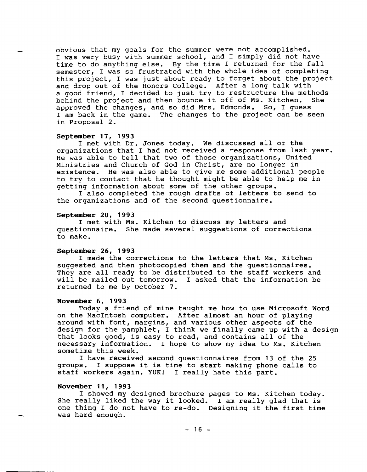obvious that my goals for the summer were not accomplished. I was very busy with summer school, and I simply did not have time to do anything else. By the time I returned for the fall semester, I was so frustrated with the whole idea of completing this project, I was just about ready to forget about the project and drop out of the Honors College. After a long talk with a good friend, I decided to just try to restructure the methods<br>behind the project and then bounce it off of Ms. Kitchen. She behind the project and then bounce it off of Ms. Kitchen. approved the changes, and so did Mrs. Edmonds. So, I guess I am back in the game. The changes to the project can be seen in Proposal 2.

#### September 17, 1993

I met with Dr. Jones today. We discussed all of the organizations that I had not received a response from last year. He was able to tell that two of those organizations, United Ministries and Church of God in Christ, are no longer in existence. He was also able to give me some additional people to try to contact that he thought might be able to help me in getting information about some of the other groups.

I also completed the rough drafts of letters to send to the organizations and of the second questionnaire.

#### September 20, 1993

I met with Ms. Kitchen to discuss my letters and questionnaire. She made several suggestions of corrections to make.

#### September 26, 1993

I made the corrections to the letters that Ms. Kitchen suggested and then photocopied them and the questionnaires. They are all ready to be distributed to the staff workers and will be mailed out tomorrow. I asked that the information be returned to me by October 7.

#### November 6, 1993

Today a friend of mine taught me how to use Microsoft Word on the MacIntosh computer. After almost an hour of playing around with font, margins, and various other aspects of the design for the pamphlet, I think we finally came up with a design that looks good, is easy to read, and contains all of the necessary information. I hope to show my idea to Ms. Kitchen sometime this week.

I have received second questionnaires from 13 of the 25 groups. I suppose it is time to start making phone calls to staff workers again. YUK! I really hate this part.

## November 11, 1993

I showed my designed brochure pages to Ms. Kitchen today. She really liked the way it looked. I am really glad that is one thing I do not have to re-do. Designing it the first time was hard enough.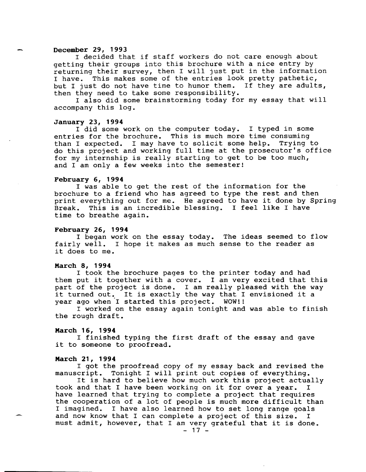#### **December 29, 1993**

I decided that if staff workers do not care enough about getting their groups into this brochure with a nice entry by returning their survey, then I will just put in the information I have. This makes some of the entries look pretty pathetic, but I just do not have time to humor them. If they are adults, then they need to take some responsibility.

I also did some brainstorming today for my essay that will accompany this log.

#### **January 23, 1994**

I did some work on the computer today. I typed in some entries for the brochure. This is much more time consuming than I expected. I may have to solicit some help. Trying to do this project and working full time at the prosecutor's office for my internship is really starting to get to be too much, and I am only a few weeks into the semester!

## **February 6, 1994**

I was able to get the rest of the information for the brochure to a friend who has agreed to type the rest and then print everything out for me. He agreed to have it done by Spring Break. This is an incredible blessing. I feel like I have time to breathe again.

#### **February 26, 1994**

I began work on the essay today. The ideas seemed to flow fairly well. I hope it makes as much sense to the reader as it does to me.

#### **March 8, 1994**

I took the brochure pages to the printer today and had them put it together with a cover. I am very excited that this part of the project is done. I am really pleased with the way it turned out. It is exactly the way that I envisioned it a year ago when I started this project. WOW!! year ago when I started this project.

I worked on the essay again tonight and was able to finish the rough draft.

#### **March 16, 1994**

I finished typing the first draft of the essay and gave it to someone to proofread.

#### **March 21, 1994**

I got the proofread copy of my essay back and revised the manuscript. Tonight I will print out copies of everything.

It is hard to believe how much work this project actually<br>and that I have been working on it for over a vear. I took and that I have been working on it for over a year. have learned that trying to complete a project that requires the cooperation of a lot of people is much more difficult than<br>I imagined. I have also learned how to set long range goals I have also learned how to set long range goals and now know that I can complete a project of this size. I must admit, however, that I am very grateful that it is done.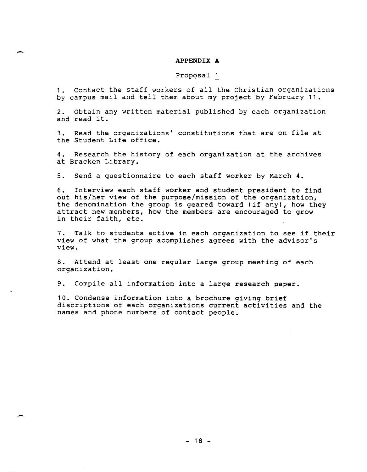# - **APPENDIX A**

#### Proposal 1

1. contact the staff workers of all the Christian organizations by campus mail and tell them about my project by February 11.

2. Obtain any written material published by each organization and read it.

3. Read the organizations' constitutions that are on file at the Student Life office.

4. Research the history of each organization at the archives at Bracken Library.

5. Send a questionnaire to each staff worker by March 4.

6. Interview each staff worker and student president to find out his/her view of the purpose/mission of the organization, the denomination the group is geared toward (if any), how they attract new members, how the members are encouraged to grow in their faith, etc.

7. Talk to students active in each organization to see if their view of what the group acomplishes agrees with the advisor's view.

8. Attend at least one regular large group meeting of each organization.

9. Compile all information into a large research paper.

10. Condense information into a brochure giving brief discriptions of each organizations current activities and the names and phone numbers of contact people.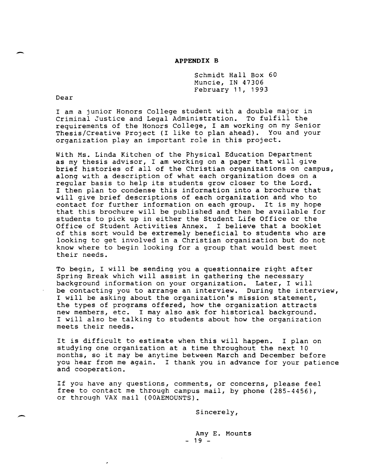#### **APPENDIX B**

Schmidt Hall Box 60 Muncie, IN 47306 February 11, 1993

Dear

-

-

I am a junior Honors College student with a double major in Criminal Justice and Legal Administration. To fulfill the requirements of the Honors College, I am working on my Senior Thesis/Creative Project (I like to plan ahead). You and your organization play an important role in this project.

With Ms. Linda Kitchen of the Physical Education Department as my thesis advisor, I am working on a paper that will give brief histories of all of the Christian organizations on campus, along with a description of what each organization does on a regular basis to help its students grow closer to the Lord. I then plan to condense this information into a brochure that will give brief descriptions of each organization and who to contact for further information on each group. It is my hope that this brochure will be published and then be available for students to pick up in either the Student Life Office or the Office of Student Activities Annex. I believe that a booklet of this sort would be extremely beneficial to students who are looking to get involved in a Christian organization but do not know where to begin looking for a group that would best meet their needs.

To begin, I will be sending you a questionnaire right after Spring Break which will assist in gathering the necessary background information on your organization. Later, I will be contacting you to arrange an interview. During the interview, I will be asking about the organization's mission statement, the types of programs offered, how the organization attracts new members, etc. I may also ask for historical background. I will also be talking to students about how the organization meets their needs.

It is difficult to estimate when this will happen. I plan on studying one organization at a time throughout the next 10 months, so it may be anytime between March and December before you hear from me again. I thank you in advance for your patience and cooperation.

If you have any questions, comments, or concerns, please feel free to contact me through campus mail, by phone (285-4456), or through VAX mail (OOAEMOUNTS).

Sincerely,

Amy E. Mounts - 19 -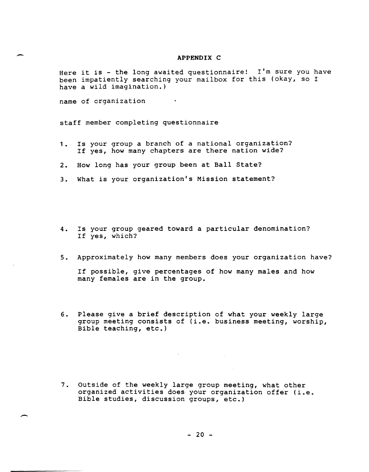#### APPENDIX C

Here it is - the long awaited questionnaire! I'm sure you have been impatiently searching your mailbox for this (okay, so I have a wild imagination.)

name of organization

staff member completing questionnaire

- 1. Is your group a branch of a national organization? If yes, how many chapters are there nation wide?
- 2. How long has your group been at Ball State?
- 3. What is your organization's Mission statement?
- 4. Is your group geared toward a particular denomination? If yes, which?
- 5. Approximately how many members does your organization have?

If possible, give percentages of how many males and how many females are in the group.

6. Please give a brief description of what your weekly large group meeting consists of (i.e. business meeting, worship, Bible teaching, etc.)

7. Outside of the weekly large group meeting, what other organized activities does your organization offer (i.e. Bible studies, discussion groups, etc.)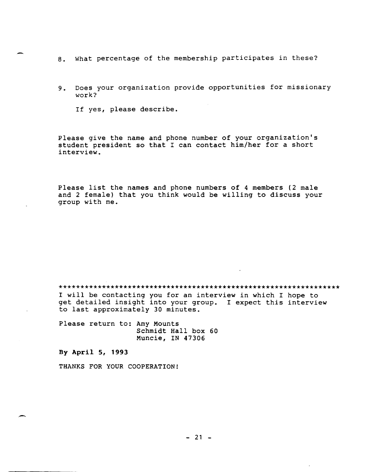- 8. What percentage of the membership participates in these?
- 9. Does your organization provide opportunities for missionary work?

If yes, please describe.

Please give the name and phone number of your organization's student president so that I can contact him/her for a short interview.

Please list the names and phone numbers of 4 members (2 male and 2 female) that you think would be willing to discuss your group with me.

\*\*\*\*\*\*\*\*\*\*\*\*\*\*\*\*\*\*\*\*\*\*\*\*\*\*\*\*\*\*\*\*\*\*\*\*\*\*\*\*\*\*\*\*\*\*\*\*\*\*\*\*\*\*\*\*\*\*\*\*\*\*\*\*\*

I will be contacting you for an interview in which I hope to get detailed insight into your group. I expect this interview to last approximately 30 minutes.

Please return to: Amy Mounts Schmidt Hall box 60 Muncie, IN 47306

**By AprilS, 1993** 

THANKS FOR YOUR COOPERATION!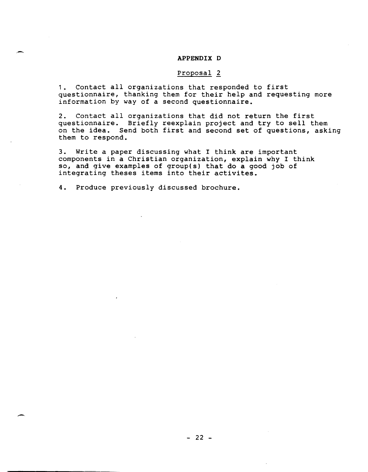## **APPENDIX D**

## Proposal 2

1. contact all organizations that responded to first questionnaire, thanking them for their help and requesting more information by way of a second questionnaire.

2. Contact all organizations that did not return the first questionnaire. Briefly reexplain project and try to sell them on the idea. Send both first and second set of questions, asking them to respond.

3. Write a paper discussing what I think are important components in a Christian organization, explain why I think so, and give examples of group(s) that do a good job of integrating theses items into their activites.

4. Produce previously discussed brochure.

 $\overline{\phantom{0}}$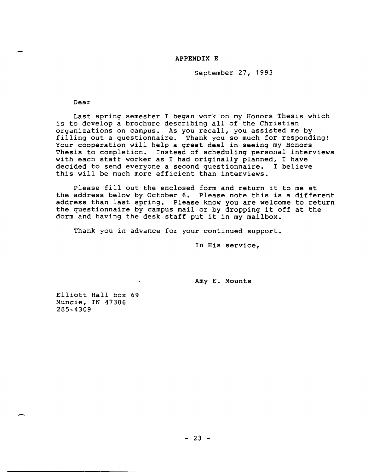## **APPENDIX E**

September 27, 1993

Dear

Last spring semester I began work on my Honors Thesis which is to develop a brochure describing all of the Christian organizations on campus. As you recall, you assisted me by filling out a questionnaire. Thank you so much for responding! Your cooperation will help a great deal in seeing my Honors Thesis to completion. Instead of scheduling personal interviews with each staff worker as I had originally planned, I have decided to send everyone a second questionnaire. I believe this will be much more efficient than interviews.

Please fill out the enclosed form and return it to me at the address below by October 6. Please note this is a different address than last spring. Please know you are welcome to return the questionnaire by campus mail or by dropping it off at the dorm and having the desk staff put it in my mailbox.

Thank you in advance for your continued support.

In His service,

Amy **E.** Mounts

Elliott Hall box 69 Muncie, IN 47306 285-4309

.-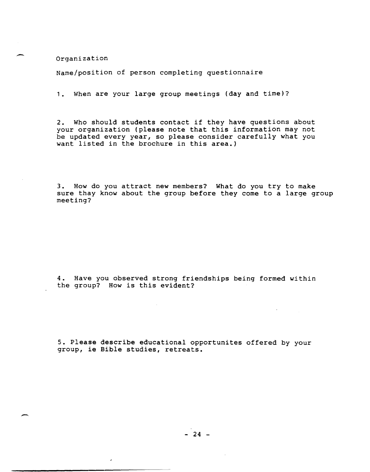Organization

-

-.

Name/position of person completing questionnaire

1. When are your large group meetings (day and time)?

2. Who should students contact if they have questions about your organization (please note that this information may not be updated every year, so please consider carefully what you want listed in the brochure in this area.)

3. How do you attract new members? What do you try to make sure thay know about the group before they come to a large group meeting?

4. Have you observed strong friendships being formed within the group? How is this evident?

5. Please describe educational opportunites offered by your group, ie Bible studies, retreats.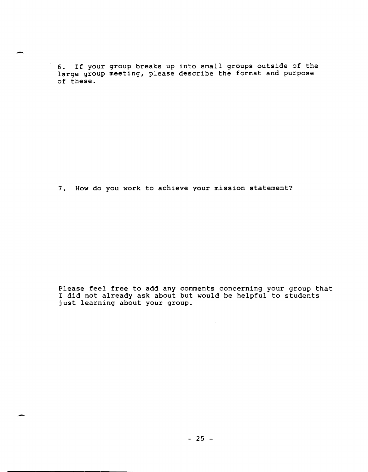6. If your group breaks up into small groups outside of the large group meeting, please describe the format and purpose of these.

7. How do you work to achieve your mission statement?

Please feel free to add any comments concerning your group that I did not already ask about but would be helpful to students I did not diready den decade ede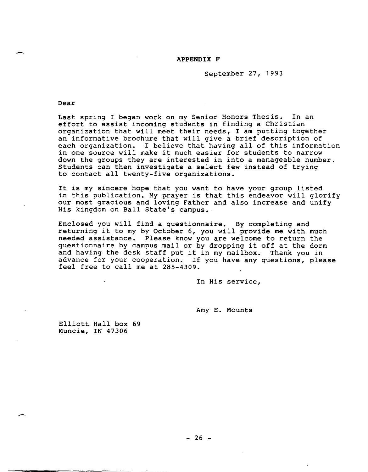## APPENDIX F

September 27, 1993

Dear

.-

-

Last spring I began work on my Senior Honors Thesis. In an effort to assist incoming students in finding a Christian organization that will meet their needs, I am putting together an informative brochure that will give a brief description of each organization. I believe that having all of this information in one source will make it much easier for students to narrow down the groups they are interested in into a manageable number. Students can then investigate a select few instead of trying to contact all twenty-five organizations.

It is my sincere hope that you want to have your group listed in this publication. My prayer is that this endeavor will glorify our most gracious and loving Father and also increase and unify His kingdom on Ball State's campus.

Enclosed you will find a questionnaire. By completing and returning it to my by October 6, you will provide me with much needed assistance. Please know you are welcome to return the questionnaire by campus mail or by dropping it off at the dorm and having the desk staff put it in my mailbox. Thank you in advance for your cooperation. If you have any questions, please feel free to call me at 285-4309.

In His service,

Amy E. Mounts

Elliott Hall box 69 Muncie, IN 47306

 $- 26 -$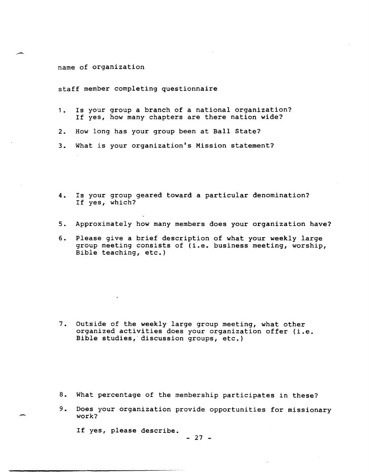## name of organization

staff member completing questionnaire

- 1. Is your group a branch of a national organization? If yes, how many chapters are there nation wide?
- 2. How long has your group been at Ball State?
- 3. What is your organization's Mission statement?
- 4. Is your group geared toward a particular denomination? If yes, which?
- 5. Approximately how many members does your organization have?
- 6. Please give a brief description of what your weekly large group meeting consists of (i.e. business meeting, worship, Bible teaching, etc.)

7. Outside of the weekly large group meeting, what other organized activities does your organization offer (i.e. Bible studies, discussion groups, etc.)

- 8. What percentage of the membership participates in these?
- 9. Does your organization provide opportunities for missionary work?

If yes, please describe.

 $- 27 -$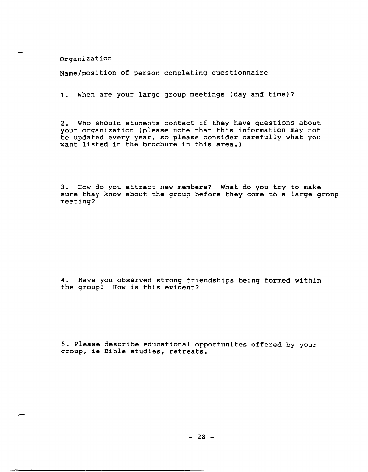Organization

Name/position of person completing questionnaire

1. when are your large group meetings (day and time)?

2. Who should students contact if they have questions about your organization (please note that this information may not be updated every year, so please consider carefully what you want listed in the brochure in this area.)

3. How do you attract new members? What do you try to make sure thay know about the group before they come to a large group meeting?

4. Have you observed strong friendships being formed within the group? How is this evident?

5. Please describe educational opportunites offered by your group, ie Bible studies, retreats.